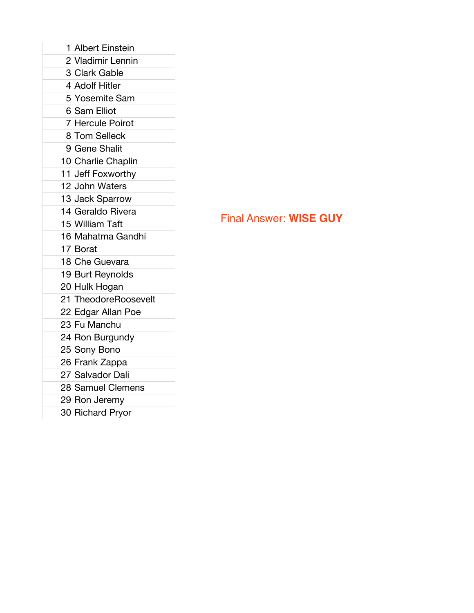| 1 Albert Einstein    |
|----------------------|
|                      |
| 2 Vladimir Lennin    |
| 3 Clark Gable        |
| 4 Adolf Hitler       |
| 5 Yosemite Sam       |
| 6 Sam Elliot         |
| 7 Hercule Poirot     |
| 8 Tom Selleck        |
| 9 Gene Shalit        |
| 10 Charlie Chaplin   |
| 11 Jeff Foxworthy    |
| 12 John Waters       |
| 13 Jack Sparrow      |
| 14 Geraldo Rivera    |
| 15 William Taft      |
| 16 Mahatma Gandhi    |
| 17 Borat             |
| 18 Che Guevara       |
| 19 Burt Reynolds     |
| 20 Hulk Hogan        |
| 21 TheodoreRoosevelt |
| 22 Edgar Allan Poe   |
| 23 Fu Manchu         |
| 24 Ron Burgundy      |
| 25 Sony Bono         |
| 26 Frank Zappa       |
| 27 Salvador Dali     |
| 28 Samuel Clemens    |
| 29 Ron Jeremy        |
| 30 Richard Pryor     |
|                      |

## Final Answer: **WISE GUY**